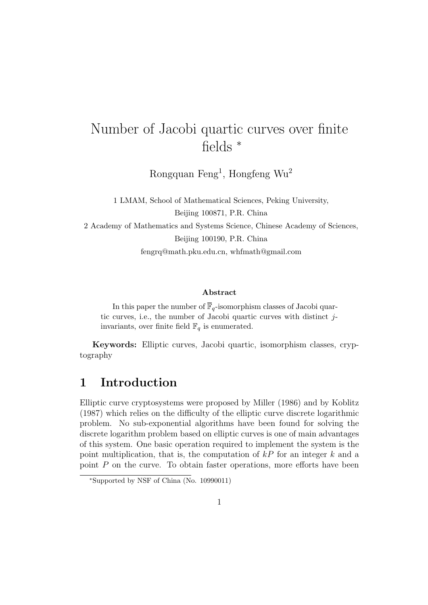# Number of Jacobi quartic curves over finite fields <sup>∗</sup>

Rongquan Feng<sup>1</sup>, Hongfeng Wu<sup>2</sup>

1 LMAM, School of Mathematical Sciences, Peking University, Beijing 100871, P.R. China 2 Academy of Mathematics and Systems Science, Chinese Academy of Sciences, Beijing 100190, P.R. China fengrq@math.pku.edu.cn, whfmath@gmail.com

#### Abstract

In this paper the number of  $\overline{\mathbb{F}}_q$ -isomorphism classes of Jacobi quartic curves, i.e., the number of Jacobi quartic curves with distinct jinvariants, over finite field  $\mathbb{F}_q$  is enumerated.

Keywords: Elliptic curves, Jacobi quartic, isomorphism classes, cryptography

### 1 Introduction

Elliptic curve cryptosystems were proposed by Miller (1986) and by Koblitz (1987) which relies on the difficulty of the elliptic curve discrete logarithmic problem. No sub-exponential algorithms have been found for solving the discrete logarithm problem based on elliptic curves is one of main advantages of this system. One basic operation required to implement the system is the point multiplication, that is, the computation of  $kP$  for an integer k and a point  $P$  on the curve. To obtain faster operations, more efforts have been

<sup>∗</sup>Supported by NSF of China (No. 10990011)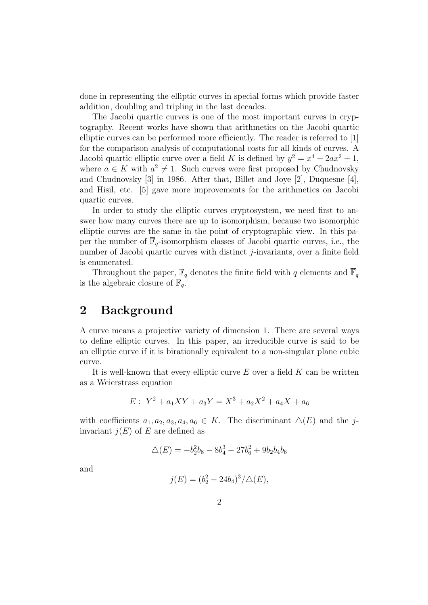done in representing the elliptic curves in special forms which provide faster addition, doubling and tripling in the last decades.

The Jacobi quartic curves is one of the most important curves in cryptography. Recent works have shown that arithmetics on the Jacobi quartic elliptic curves can be performed more efficiently. The reader is referred to [1] for the comparison analysis of computational costs for all kinds of curves. A Jacobi quartic elliptic curve over a field K is defined by  $y^2 = x^4 + 2ax^2 + 1$ , where  $a \in K$  with  $a^2 \neq 1$ . Such curves were first proposed by Chudnovsky and Chudnovsky [3] in 1986. After that, Billet and Joye [2], Duquesne [4], and Hisil, etc. [5] gave more improvements for the arithmetics on Jacobi quartic curves.

In order to study the elliptic curves cryptosystem, we need first to answer how many curves there are up to isomorphism, because two isomorphic elliptic curves are the same in the point of cryptographic view. In this paper the number of  $\overline{\mathbb{F}}_q$ -isomorphism classes of Jacobi quartic curves, i.e., the number of Jacobi quartic curves with distinct *j*-invariants, over a finite field is enumerated.

Throughout the paper,  $\mathbb{F}_q$  denotes the finite field with q elements and  $\overline{\mathbb{F}}_q$ is the algebraic closure of  $\mathbb{F}_q$ .

#### 2 Background

A curve means a projective variety of dimension 1. There are several ways to define elliptic curves. In this paper, an irreducible curve is said to be an elliptic curve if it is birationally equivalent to a non-singular plane cubic curve.

It is well-known that every elliptic curve  $E$  over a field  $K$  can be written as a Weierstrass equation

$$
E: Y^2 + a_1XY + a_3Y = X^3 + a_2X^2 + a_4X + a_6
$$

with coefficients  $a_1, a_2, a_3, a_4, a_6 \in K$ . The discriminant  $\Delta(E)$  and the jinvariant  $j(E)$  of E are defined as

$$
\Delta(E) = -b_2^2 b_8 - 8b_4^3 - 27b_6^2 + 9b_2b_4b_6
$$

and

$$
j(E) = (b_2^2 - 24b_4)^3 / \Delta(E),
$$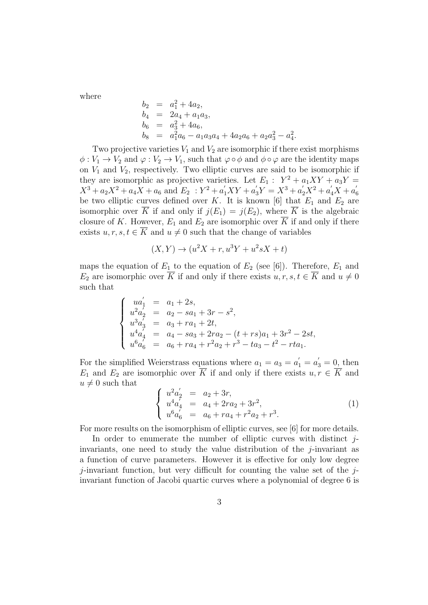where

$$
b_2 = a_1^2 + 4a_2,
$$
  
\n
$$
b_4 = 2a_4 + a_1a_3,
$$
  
\n
$$
b_6 = a_3^2 + 4a_6,
$$
  
\n
$$
b_8 = a_1^2a_6 - a_1a_3a_4 + 4a_2a_6 + a_2a_3^2 - a_4^2.
$$

Two projective varieties  $V_1$  and  $V_2$  are isomorphic if there exist morphisms  $\phi: V_1 \to V_2$  and  $\varphi: V_2 \to V_1$ , such that  $\varphi \circ \phi$  and  $\phi \circ \varphi$  are the identity maps on  $V_1$  and  $V_2$ , respectively. Two elliptic curves are said to be isomorphic if they are isomorphic as projective varieties. Let  $E_1: Y^2 + a_1XY + a_3Y =$  $X^3 + a_2X^2 + a_4X + a_6$  and  $E_2$ :  $Y^2 + a'_1XY + a'_3Y = X^3 + a'_2X^2 + a'_4X + a'_6$ 6 be two elliptic curves defined over K. It is known [6] that  $E_1$  and  $E_2$  are isomorphic over  $\overline{K}$  if and only if  $j(E_1) = j(E_2)$ , where  $\overline{K}$  is the algebraic closure of K. However,  $E_1$  and  $E_2$  are isomorphic over  $\overline{K}$  if and only if there exists  $u, r, s, t \in \overline{K}$  and  $u \neq 0$  such that the change of variables

$$
(X,Y) \rightarrow (u^2X + r, u^3Y + u^2sX + t)
$$

maps the equation of  $E_1$  to the equation of  $E_2$  (see [6]). Therefore,  $E_1$  and  $E_2$  are isomorphic over  $\overline{K}$  if and only if there exists  $u, r, s, t \in \overline{K}$  and  $u \neq 0$ such that

$$
\begin{cases}\nua'_1 = a_1 + 2s, \\
u^2a'_2 = a_2 - sa_1 + 3r - s^2, \\
u^3a'_3 = a_3 + ra_1 + 2t, \\
u^4a'_4 = a_4 - sa_3 + 2ra_2 - (t + rs)a_1 + 3r^2 - 2st, \\
u^6a'_6 = a_6 + ra_4 + r^2a_2 + r^3 - ta_3 - t^2 - rta_1.\n\end{cases}
$$

For the simplified Weierstrass equations where  $a_1 = a_3 = a'_1 = a'_3 = 0$ , then  $E_1$  and  $E_2$  are isomorphic over  $\overline{K}$  if and only if there exists  $u, r \in \overline{K}$  and  $u \neq 0$  such that

$$
\begin{cases}\nu^2 a_2' = a_2 + 3r, \\
u^4 a_4' = a_4 + 2ra_2 + 3r^2, \\
u^6 a_6' = a_6 + ra_4 + r^2 a_2 + r^3.\n\end{cases} (1)
$$

For more results on the isomorphism of elliptic curves, see [6] for more details.

In order to enumerate the number of elliptic curves with distinct  $i$ invariants, one need to study the value distribution of the  $j$ -invariant as a function of curve parameters. However it is effective for only low degree  $j$ -invariant function, but very difficult for counting the value set of the  $j$ invariant function of Jacobi quartic curves where a polynomial of degree 6 is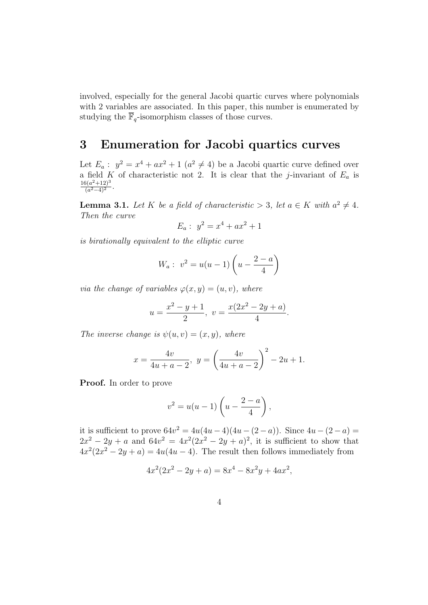involved, especially for the general Jacobi quartic curves where polynomials with 2 variables are associated. In this paper, this number is enumerated by studying the  $\overline{\mathbb{F}}_q\text{-isomorphism classes of those curves.}$ 

## 3 Enumeration for Jacobi quartics curves

Let  $E_a: y^2 = x^4 + ax^2 + 1$   $(a^2 \neq 4)$  be a Jacobi quartic curve defined over a field K of characteristic not 2. It is clear that the j-invariant of  $E_a$  is  $16(a^2+12)^3$  $\frac{a^{2}+12)^{6}}{(a^{2}-4)^{2}}$ .

**Lemma 3.1.** Let K be a field of characteristic  $> 3$ , let  $a \in K$  with  $a^2 \neq 4$ . Then the curve

$$
E_a: \ y^2 = x^4 + ax^2 + 1
$$

is birationally equivalent to the elliptic curve

$$
W_a: v^2 = u(u-1)\left(u - \frac{2-a}{4}\right)
$$

via the change of variables  $\varphi(x, y) = (u, v)$ , where

$$
u = \frac{x^2 - y + 1}{2}, \ v = \frac{x(2x^2 - 2y + a)}{4}.
$$

The inverse change is  $\psi(u, v) = (x, y)$ , where

$$
x = \frac{4v}{4u + a - 2}, \ y = \left(\frac{4v}{4u + a - 2}\right)^2 - 2u + 1.
$$

Proof. In order to prove

$$
v^2 = u(u-1)\left(u - \frac{2-a}{4}\right),\,
$$

it is sufficient to prove  $64v^2 = 4u(4u-4)(4u-(2-a))$ . Since  $4u-(2-a)$  $2x^2 - 2y + a$  and  $64v^2 = 4x^2(2x^2 - 2y + a)^2$ , it is sufficient to show that  $4x^2(2x^2 - 2y + a) = 4u(4u - 4)$ . The result then follows immediately from

$$
4x^2(2x^2 - 2y + a) = 8x^4 - 8x^2y + 4ax^2,
$$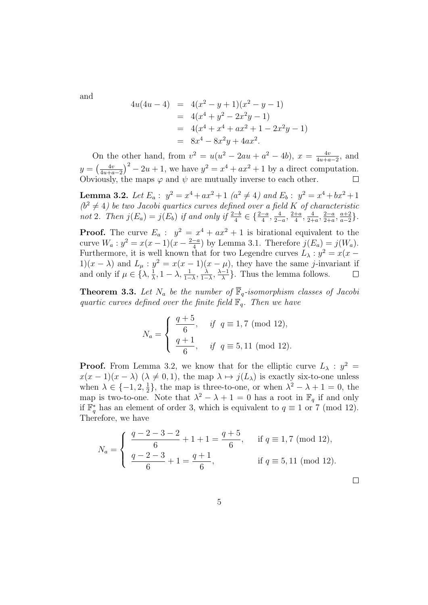and

$$
4u(4u - 4) = 4(x2 - y + 1)(x2 - y - 1)
$$
  
= 4(x<sup>4</sup> + y<sup>2</sup> - 2x<sup>2</sup>y - 1)  
= 4(x<sup>4</sup> + x<sup>4</sup> + ax<sup>2</sup> + 1 - 2x<sup>2</sup>y - 1)  
= 8x<sup>4</sup> - 8x<sup>2</sup>y + 4ax<sup>2</sup>.

On the other hand, from  $v^2 = u(u^2 - 2au + a^2 - 4b)$ ,  $x = \frac{4v}{4u + a^2}$  $\frac{4v}{4u+a-2}$ , and  $y = \left(\frac{4v}{4u+a}\right)$  $\frac{4v}{4u+a-2}$ <sup>2</sup> – 2u + 1, we have  $y^2 = x^4 + ax^2 + 1$  by a direct computation. Obviously, the maps  $\varphi$  and  $\psi$  are mutually inverse to each other.

**Lemma 3.2.** Let  $E_a: y^2 = x^4 + ax^2 + 1$   $(a^2 \neq 4)$  and  $E_b: y^2 = x^4 + bx^2 + 1$  $(b^2 \neq 4)$  be two Jacobi quartics curves defined over a field K of characteristic not 2. Then  $j(E_a) = j(E_b)$  if and only if  $\frac{2-b}{4} \in {\frac{2-a}{4}, \frac{4}{2-a}}$  $\frac{4}{2-a}$ ,  $\frac{2+a}{4}$  $\frac{+a}{4}$ ,  $\frac{4}{2+}$  $\frac{4}{2+a}$ ,  $\frac{2-a}{2+a}$  $\frac{2-a}{2+a}, \frac{a+2}{a-2}$  $\frac{a+2}{a-2}$ .

**Proof.** The curve  $E_a: y^2 = x^4 + ax^2 + 1$  is birational equivalent to the curve  $W_a: y^2 = x(x-1)(x-\frac{2-a}{4})$  $\frac{-a}{4}$ ) by Lemma 3.1. Therefore  $j(E_a) = j(W_a)$ . Furthermore, it is well known that for two Legendre curves  $L_{\lambda}: y^2 = x(x -$ 1) $(x - \lambda)$  and  $L_{\mu}$ :  $y^2 = x(x - 1)(x - \mu)$ , they have the same j-invariant if and only if  $\mu \in \{ \lambda, \frac{1}{\lambda}, 1 - \lambda, \frac{1}{1 - \lambda}, \frac{\lambda}{1 - \lambda} \}$  $\frac{\lambda}{1-\lambda}, \frac{\lambda-1}{\lambda}$  $\frac{-1}{\lambda}$ . Thus the lemma follows.

**Theorem 3.3.** Let  $N_a$  be the number of  $\mathbb{F}_q$ -isomorphism classes of Jacobi quartic curves defined over the finite field  $\mathbb{F}_q$ . Then we have

$$
N_a = \begin{cases} \frac{q+5}{6}, & \text{if } q \equiv 1,7 \pmod{12}, \\ \frac{q+1}{6}, & \text{if } q \equiv 5,11 \pmod{12}. \end{cases}
$$

**Proof.** From Lemma 3.2, we know that for the elliptic curve  $L_{\lambda}$ :  $y^2 =$  $x(x-1)(x-\lambda)$   $(\lambda \neq 0,1)$ , the map  $\lambda \mapsto j(L_\lambda)$  is exactly six-to-one unless when  $\lambda \in \{-1, 2, \frac{1}{2}\}$  $\frac{1}{2}$ , the map is three-to-one, or when  $\lambda^2 - \lambda + 1 = 0$ , the map is two-to-one. Note that  $\lambda^2 - \lambda + 1 = 0$  has a root in  $\mathbb{F}_q$  if and only if  $\mathbb{F}_q^*$  has an element of order 3, which is equivalent to  $q \equiv 1$  or 7 (mod 12). Therefore, we have

$$
N_a = \begin{cases} \frac{q-2-3-2}{6} + 1 + 1 = \frac{q+5}{6}, & \text{if } q \equiv 1,7 \pmod{12}, \\ \frac{q-2-3}{6} + 1 = \frac{q+1}{6}, & \text{if } q \equiv 5,11 \pmod{12}. \end{cases}
$$

 $\Box$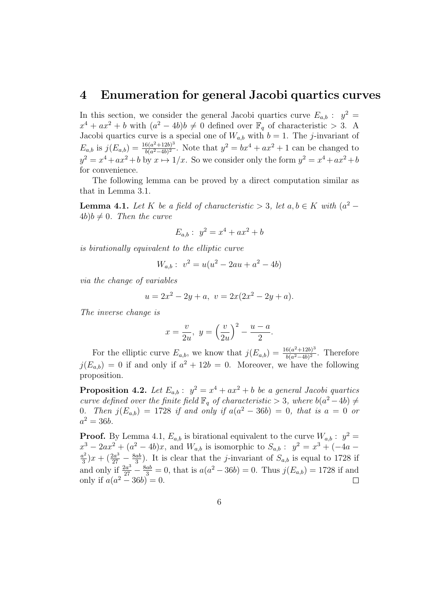#### 4 Enumeration for general Jacobi quartics curves

In this section, we consider the general Jacobi quartics curve  $E_{a,b}$ :  $y^2 =$  $x^4 + ax^2 + b$  with  $(a^2 - 4b)b \neq 0$  defined over  $\mathbb{F}_q$  of characteristic > 3. A Jacobi quartics curve is a special one of  $W_{a,b}$  with  $b = 1$ . The j-invariant of  $E_{a,b}$  is  $j(E_{a,b}) = \frac{16(a^2+12b)^3}{b(a^2-4b)^2}$  $\frac{6(a^2+12b)^3}{b(a^2-4b)^2}$ . Note that  $y^2 = bx^4 + ax^2 + 1$  can be changed to  $y^2 = x^4 + ax^2 + b$  by  $x \mapsto 1/x$ . So we consider only the form  $y^2 = x^4 + ax^2 + b$ for convenience.

The following lemma can be proved by a direct computation similar as that in Lemma 3.1.

**Lemma 4.1.** Let K be a field of characteristic > 3, let  $a, b \in K$  with  $(a^2 4b)b \neq 0$ . Then the curve

$$
E_{a,b}: y^2 = x^4 + ax^2 + b
$$

is birationally equivalent to the elliptic curve

$$
W_{a,b}: v^2 = u(u^2 - 2au + a^2 - 4b)
$$

via the change of variables

$$
u = 2x^2 - 2y + a, \ v = 2x(2x^2 - 2y + a).
$$

The inverse change is

$$
x = \frac{v}{2u}, \ y = \left(\frac{v}{2u}\right)^2 - \frac{u-a}{2}.
$$

For the elliptic curve  $E_{a,b}$ , we know that  $j(E_{a,b}) = \frac{16(a^2+12b)^3}{b(a^2-4b)^2}$  $\frac{b(a^2+12b)^{\circ}}{b(a^2-4b)^2}$ . Therefore  $j(E_{a,b}) = 0$  if and only if  $a^2 + 12b = 0$ . Moreover, we have the following proposition.

**Proposition 4.2.** Let  $E_{a,b}: y^2 = x^4 + ax^2 + b$  be a general Jacobi quartics curve defined over the finite field  $\mathbb{F}_q$  of characteristic > 3, where  $b(a^2-4b) \neq$ 0. Then  $j(E_{a,b}) = 1728$  if and only if  $a(a^2 - 36b) = 0$ , that is  $a = 0$  or  $a^2 = 36b$ .

**Proof.** By Lemma 4.1,  $E_{a,b}$  is birational equivalent to the curve  $W_{a,b}$ :  $y^2 =$  $x^3 - 2ax^2 + (a^2 - 4b)x$ , and  $W_{a,b}$  is isomorphic to  $S_{a,b}$ :  $y^2 = x^3 + (-4a$  $a^2$  $\frac{a^2}{3}$ )  $x + \left(\frac{2a^3}{27} - \frac{8ab}{3}\right)$  $\frac{ab}{3}$ ). It is clear that the *j*-invariant of  $S_{a,b}$  is equal to 1728 if and only if  $\frac{2a^3}{27} - \frac{8ab}{3} = 0$ , that is  $a(a^2 - 36b) = 0$ . Thus  $j(E_{a,b}) = 1728$  if and only if  $a(a^2 - 36b) = 0$ .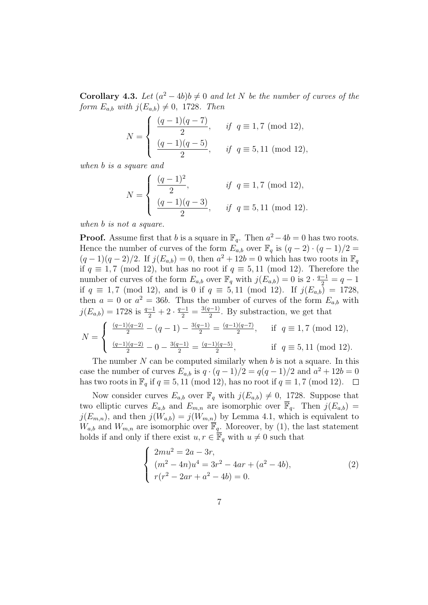**Corollary 4.3.** Let  $(a^2 - 4b)b \neq 0$  and let N be the number of curves of the form  $E_{a,b}$  with  $j(E_{a,b}) \neq 0$ , 1728. Then

$$
N = \begin{cases} \frac{(q-1)(q-7)}{2}, & \text{if } q \equiv 1,7 \pmod{12}, \\ \frac{(q-1)(q-5)}{2}, & \text{if } q \equiv 5,11 \pmod{12}, \end{cases}
$$

when b is a square and

$$
N = \begin{cases} \frac{(q-1)^2}{2}, & \text{if } q \equiv 1,7 \pmod{12}, \\ \frac{(q-1)(q-3)}{2}, & \text{if } q \equiv 5,11 \pmod{12}. \end{cases}
$$

when b is not a square.

**Proof.** Assume first that b is a square in  $\mathbb{F}_q$ . Then  $a^2 - 4b = 0$  has two roots. Hence the number of curves of the form  $E_{a,b}$  over  $\mathbb{F}_q$  is  $(q-2) \cdot (q-1)/2 =$  $(q-1)(q-2)/2$ . If  $j(E_{a,b})=0$ , then  $a^2+12b=0$  which has two roots in  $\mathbb{F}_q$ if  $q \equiv 1, 7 \pmod{12}$ , but has no root if  $q \equiv 5, 11 \pmod{12}$ . Therefore the number of curves of the form  $E_{a,b}$  over  $\mathbb{F}_q$  with  $j(E_{a,b}) = 0$  is  $2 \cdot \frac{q-1}{2} = q-1$ if  $q \equiv 1, 7 \pmod{12}$ , and is 0 if  $q \equiv 5, 11 \pmod{12}$ . If  $j(E_{a,b}) = 1728$ , then  $a = 0$  or  $a^2 = 36b$ . Thus the number of curves of the form  $E_{a,b}$  with  $j(E_{a,b}) = 1728$  is  $\frac{q-1}{2} + 2 \cdot \frac{q-1}{2} = \frac{3(q-1)}{2}$  $\frac{(-1)}{2}$ . By substraction, we get that

$$
N = \begin{cases} \frac{(q-1)(q-2)}{2} - (q-1) - \frac{3(q-1)}{2} = \frac{(q-1)(q-7)}{2}, & \text{if } q \equiv 1,7 \pmod{12}, \\ \frac{(q-1)(q-2)}{2} - 0 - \frac{3(q-1)}{2} = \frac{(q-1)(q-5)}{2}, & \text{if } q \equiv 5,11 \pmod{12}. \end{cases}
$$

The number  $N$  can be computed similarly when  $b$  is not a square. In this case the number of curves  $E_{a,b}$  is  $q \cdot (q-1)/2 = q(q-1)/2$  and  $a^2 + 12b = 0$ has two roots in  $\mathbb{F}_q$  if  $q \equiv 5, 11 \pmod{12}$ , has no root if  $q \equiv 1, 7 \pmod{12}$ .  $\Box$ 

Now consider curves  $E_{a,b}$  over  $\mathbb{F}_q$  with  $j(E_{a,b}) \neq 0$ , 1728. Suppose that two elliptic curves  $E_{a,b}$  and  $E_{m,n}$  are isomorphic over  $\overline{\mathbb{F}}_q$ . Then  $j(E_{a,b})=$  $j(E_{m,n})$ , and then  $j(W_{a,b}) = j(W_{m,n})$  by Lemma 4.1, which is equivalent to  $W_{a,b}$  and  $W_{m,n}$  are isomorphic over  $\overline{\mathbb{F}}_q$ . Moreover, by (1), the last statement holds if and only if there exist  $u, r \in \overline{\mathbb{F}}_q$  with  $u \neq 0$  such that

$$
\begin{cases}\n2mu^2 = 2a - 3r, \\
(m^2 - 4n)u^4 = 3r^2 - 4ar + (a^2 - 4b), \\
r(r^2 - 2ar + a^2 - 4b) = 0.\n\end{cases}
$$
\n(2)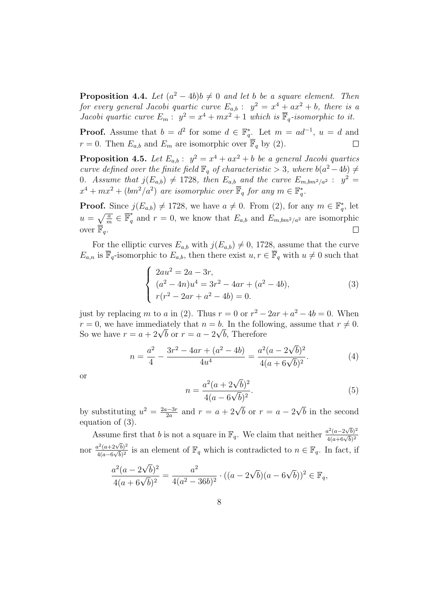**Proposition 4.4.** Let  $(a^2 - 4b)b \neq 0$  and let b be a square element. Then for every general Jacobi quartic curve  $E_{a,b}$  :  $y^2 = x^4 + ax^2 + b$ , there is a Jacobi quartic curve  $E_m: y^2 = x^4 + mx^2 + 1$  which is  $\overline{\mathbb{F}}_q$ -isomorphic to it.

**Proof.** Assume that  $b = d^2$  for some  $d \in \mathbb{F}_q^*$ . Let  $m = ad^{-1}$ ,  $u = d$  and  $r = 0$ . Then  $E_{a,b}$  and  $E_m$  are isomorphic over  $\overline{\mathbb{F}}_q$  by (2).  $\Box$ 

**Proposition 4.5.** Let  $E_{a,b}: y^2 = x^4 + ax^2 + b$  be a general Jacobi quartics curve defined over the finite field  $\mathbb{F}_q$  of characteristic > 3, where  $b(a^2-4b) \neq$ 0. Assume that  $j(E_{a,b}) \neq 1728$ , then  $E_{a,b}$  and the curve  $E_{m,bm^2/a^2}$ :  $y^2 =$  $x^4 + mx^2 + (bm^2/a^2)$  are isomorphic over  $\overline{\mathbb{F}}_q$  for any  $m \in \mathbb{F}_q^*$ .

**Proof.** Since  $j(E_{a,b}) \neq 1728$ , we have  $a \neq 0$ . From (2), for any  $m \in \mathbb{F}_q^*$ , let  $u = \sqrt{\frac{a}{m}} \in \overline{\mathbb{F}}_q^*$  $q^{\dagger}$  and  $r = 0$ , we know that  $E_{a,b}$  and  $E_{m,bm^2/a^2}$  are isomorphic over  $\overline{\mathbb{F}}_a$ .  $\Box$ 

For the elliptic curves  $E_{a,b}$  with  $j(E_{a,b}) \neq 0$ , 1728, assume that the curve  $E_{a,n}$  is  $\overline{\mathbb{F}}_q$ -isomorphic to  $E_{a,b}$ , then there exist  $u, r \in \overline{\mathbb{F}}_q$  with  $u \neq 0$  such that

$$
\begin{cases}\n2au^2 = 2a - 3r, \\
(a^2 - 4n)u^4 = 3r^2 - 4ar + (a^2 - 4b), \\
r(r^2 - 2ar + a^2 - 4b) = 0.\n\end{cases}
$$
\n(3)

just by replacing m to a in (2). Thus  $r = 0$  or  $r^2 - 2ar + a^2 - 4b = 0$ . When  $r = 0$ , we have immediately that  $n = b$ . In the following, assume that  $r \neq 0$ .  $r = 0$ , we nave immediately that  $n = b$ . In the follow<br>So we have  $r = a + 2\sqrt{b}$  or  $r = a - 2\sqrt{b}$ , Therefore

$$
n = \frac{a^2}{4} - \frac{3r^2 - 4ar + (a^2 - 4b)}{4u^4} = \frac{a^2(a - 2\sqrt{b})^2}{4(a + 6\sqrt{b})^2}.
$$
 (4)

or

$$
n = \frac{a^2(a + 2\sqrt{b})^2}{4(a - 6\sqrt{b})^2}.
$$
\n(5)

by substituting  $u^2 = \frac{2a-3r}{2a}$  $\frac{a-3r}{2a}$  and  $r = a + 2\sqrt{b}$  or  $r = a - 2$ √ b in the second equation of (3).

Assume first that b is not a square in  $\mathbb{F}_q$ . We claim that neither  $\frac{a^2(a-2\sqrt{b})^2}{4(a+6\sqrt{b})^2}$ nor  $\frac{a^2(a+2\sqrt{b})^2}{4(a-6\sqrt{b})^2}$  $\frac{d^2(a+2\sqrt{b})^2}{4(a-6\sqrt{b})^2}$  is an element of  $\mathbb{F}_q$  which is contradicted to  $n \in \mathbb{F}_q$ . In fact, if √

$$
\frac{a^2(a - 2\sqrt{b})^2}{4(a + 6\sqrt{b})^2} = \frac{a^2}{4(a^2 - 36b)^2} \cdot ((a - 2\sqrt{b})(a - 6\sqrt{b}))^2 \in \mathbb{F}_q,
$$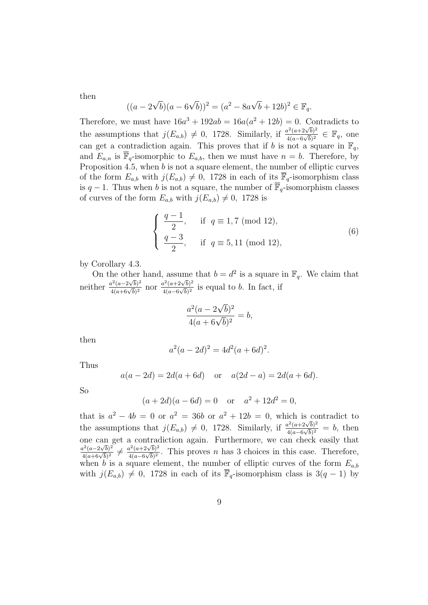then

$$
((a - 2\sqrt{b})(a - 6\sqrt{b}))^{2} = (a^{2} - 8a\sqrt{b} + 12b)^{2} \in \mathbb{F}_{q}.
$$

Therefore, we must have  $16a^3 + 192ab = 16a(a^2 + 12b) = 0$ . Contradicts to the assumptions that  $j(E_{a,b}) \neq 0$ , 1728. Similarly, if  $\frac{a^2(a+2\sqrt{b})^2}{4(a-6\sqrt{b})^2}$  $\frac{a^2(a+2\sqrt{b})^2}{4(a-6\sqrt{b})^2}$  ∈  $\mathbb{F}_q$ , one can get a contradiction again. This proves that if b is not a square in  $\mathbb{F}_q$ , and  $E_{a,n}$  is  $\overline{\mathbb{F}}_q$ -isomorphic to  $E_{a,b}$ , then we must have  $n = b$ . Therefore, by Proposition 4.5, when b is not a square element, the number of elliptic curves of the form  $E_{a,b}$  with  $j(E_{a,b}) \neq 0$ , 1728 in each of its  $\overline{\mathbb{F}}_q$ -isomorphism class is  $q-1$ . Thus when b is not a square, the number of  $\overline{\mathbb{F}}_q$ -isomorphism classes of curves of the form  $E_{a,b}$  with  $j(E_{a,b}) \neq 0$ , 1728 is

$$
\begin{cases}\n\frac{q-1}{2}, & \text{if } q \equiv 1,7 \pmod{12}, \\
\frac{q-3}{2}, & \text{if } q \equiv 5,11 \pmod{12},\n\end{cases}
$$
\n(6)

by Corollary 4.3.

On the other hand, assume that  $b = d^2$  is a square in  $\mathbb{F}_q$ . We claim that meither  $\frac{a^2(a-2\sqrt{b})^2}{4(a+6\sqrt{b})^2}$  nor  $\frac{a^2(a+2\sqrt{b})^2}{4(a-6\sqrt{b})^2}$  $\frac{a^2(a+2\sqrt{b})^2}{4(a-6\sqrt{b})^2}$  is equal to b. In fact, if

$$
\frac{a^2(a - 2\sqrt{b})^2}{4(a + 6\sqrt{b})^2} = b,
$$

then

$$
a^2(a - 2d)^2 = 4d^2(a + 6d)^2.
$$

Thus

$$
a(a - 2d) = 2d(a + 6d)
$$
 or  $a(2d - a) = 2d(a + 6d)$ .

So

$$
(a+2d)(a-6d) = 0
$$
 or  $a^2 + 12d^2 = 0$ ,

that is  $a^2 - 4b = 0$  or  $a^2 = 36b$  or  $a^2 + 12b = 0$ , which is contradict to the assumptions that  $j(E_{a,b}) \neq 0$ , 1728. Similarly, if  $\frac{a^2(a+2\sqrt{b})^2}{4(a-6\sqrt{b})^2}$  $\frac{a^2(a+2\sqrt{b})^2}{4(a-6\sqrt{b})^2} = b$ , then one can get a contradiction again. Furthermore, we can check easily that one can get a contrate<br>  $\frac{a^2(a-2\sqrt{b})^2}{4(a+6\sqrt{b})^2} \neq \frac{a^2(a+2\sqrt{b})^2}{4(a-6\sqrt{b})^2}$  $\frac{d^2(a+2\sqrt{b})^2}{4(a-6\sqrt{b})^2}$ . This proves *n* has 3 choices in this case. Therefore, when b is a square element, the number of elliptic curves of the form  $E_{a,b}$ with  $j(E_{a,b}) \neq 0$ , 1728 in each of its  $\overline{\mathbb{F}}_q$ -isomorphism class is 3(q - 1) by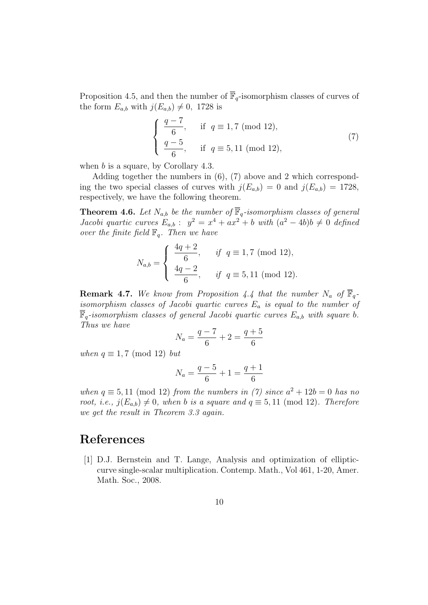Proposition 4.5, and then the number of  $\overline{\mathbb{F}}_q$ -isomorphism classes of curves of the form  $E_{a,b}$  with  $j(E_{a,b}) \neq 0$ , 1728 is

$$
\begin{cases}\n\frac{q-7}{6}, & \text{if } q \equiv 1,7 \pmod{12}, \\
\frac{q-5}{6}, & \text{if } q \equiv 5,11 \pmod{12},\n\end{cases}
$$
\n(7)

when  $b$  is a square, by Corollary 4.3.

Adding together the numbers in (6), (7) above and 2 which corresponding the two special classes of curves with  $j(E_{a,b}) = 0$  and  $j(E_{a,b}) = 1728$ , respectively, we have the following theorem.

**Theorem 4.6.** Let  $N_{a,b}$  be the number of  $\overline{\mathbb{F}}_q$ -isomorphism classes of general Jacobi quartic curves  $E_{a,b}$ :  $y^2 = x^4 + ax^2 + b$  with  $(a^2 - 4b)b \neq 0$  defined over the finite field  $\mathbb{F}_q$ . Then we have

$$
N_{a,b} = \begin{cases} \frac{4q+2}{6}, & \text{if } q \equiv 1,7 \pmod{12}, \\ \frac{4q-2}{6}, & \text{if } q \equiv 5,11 \pmod{12}. \end{cases}
$$

**Remark 4.7.** We know from Proposition 4.4 that the number  $N_a$  of  $\overline{\mathbb{F}}_q$ isomorphism classes of Jacobi quartic curves  $E_a$  is equal to the number of  $\overline{\mathbb{F}}_q$ -isomorphism classes of general Jacobi quartic curves  $E_{a,b}$  with square b. Thus we have

$$
N_a = \frac{q-7}{6} + 2 = \frac{q+5}{6}
$$

when  $q \equiv 1, 7 \pmod{12}$  but

$$
N_a = \frac{q-5}{6} + 1 = \frac{q+1}{6}
$$

when  $q \equiv 5, 11 \pmod{12}$  from the numbers in (7) since  $a^2 + 12b = 0$  has no root, i.e.,  $j(E_{a,b}) \neq 0$ , when b is a square and  $q \equiv 5, 11 \pmod{12}$ . Therefore we get the result in Theorem 3.3 again.

#### References

[1] D.J. Bernstein and T. Lange, Analysis and optimization of ellipticcurve single-scalar multiplication. Contemp. Math., Vol 461, 1-20, Amer. Math. Soc., 2008.